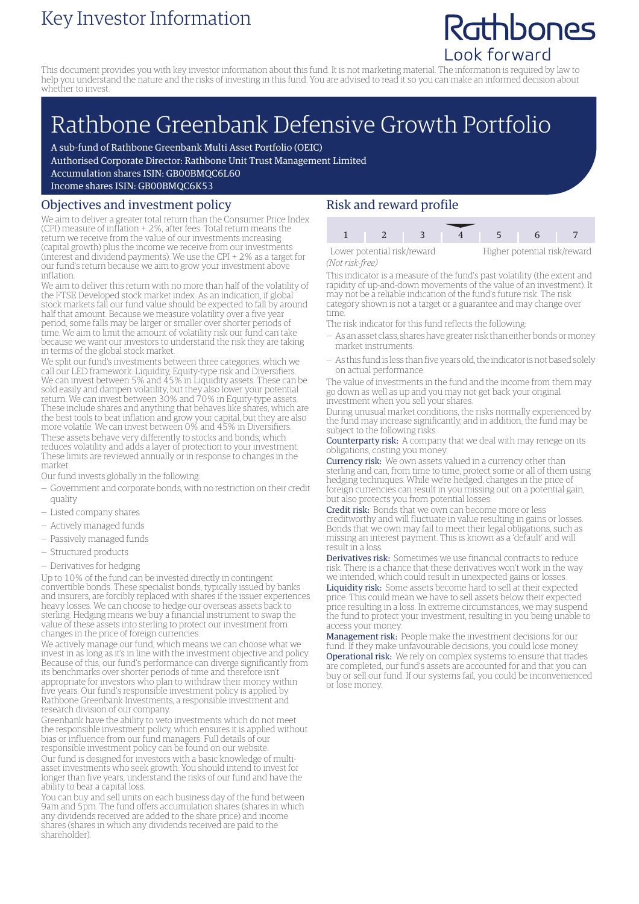### Key Investor Information

## Rathbones Look forward

This document provides you with key investor information about this fund. It is not marketing material. The information is required by law to help you understand the nature and the risks of investing in this fund. You are advised to read it so you can make an informed decision about whether to invest.

# Rathbone Greenbank Defensive Growth Portfolio

A sub-fund of Rathbone Greenbank Multi Asset Portfolio (OEIC)

Authorised Corporate Director: Rathbone Unit Trust Management Limited

Accumulation shares ISIN: GB00BMQC6L60

Income shares ISIN: GB00BMQC6K53

#### Objectives and investment policy

We aim to deliver a greater total return than the Consumer Price Index (CPI) measure of inflation + 2%, after fees. Total return means the return we receive from the value of our investments increasing (capital growth) plus the income we receive from our investments (interest and dividend payments). We use the CPI + 2% as a target for our fund's return because we aim to grow your investment above inflation.

We aim to deliver this return with no more than half of the volatility of the FTSE Developed stock market index. As an indication, if global stock markets fall our fund value should be expected to fall by around half that amount. Because we measure volatility over a five year period, some falls may be larger or smaller over shorter periods of time. We aim to limit the amount of volatility risk our fund can take because we want our investors to understand the risk they are taking in terms of the global stock market.

We split our fund's investments between three categories, which we call our LED framework: Liquidity, Equity-type risk and Diversifiers. We can invest between 5% and 45% in Liquidity assets. These can be sold easily and dampen volatility, but they also lower your potential return. We can invest between 30% and 70% in Equity-type assets. These include shares and anything that behaves like shares, which are the best tools to beat inflation and grow your capital, but they are also more volatile. We can invest between 0% and 45% in Diversifiers.

These assets behave very differently to stocks and bonds, which reduces volatility and adds a layer of protection to your investment. These limits are reviewed annually or in response to changes in the market.

Our fund invests globally in the following:

- Government and corporate bonds, with no restriction on their credit quality
- Listed company shares
- Actively managed funds
- Passively managed funds
- Structured products
- Derivatives for hedging

Up to 10% of the fund can be invested directly in contingent convertible bonds. These specialist bonds, typically issued by banks and insurers, are forcibly replaced with shares if the issuer experiences heavy losses. We can choose to hedge our overseas assets back to sterling. Hedging means we buy a financial instrument to swap the value of these assets into sterling to protect our investment from changes in the price of foreign currencies.

We actively manage our fund, which means we can choose what we invest in as long as it's in line with the investment objective and policy. Because of this, our fund's performance can diverge significantly from its benchmarks over shorter periods of time and therefore isn't appropriate for investors who plan to withdraw their money within five years. Our fund's responsible investment policy is applied by Rathbone Greenbank Investments, a responsible investment and research division of our company.

Greenbank have the ability to veto investments which do not meet the responsible investment policy, which ensures it is applied without bias or influence from our fund managers. Full details of our responsible investment policy can be found on our website. Our fund is designed for investors with a basic knowledge of multiasset investments who seek growth. You should intend to invest for longer than five years, understand the risks of our fund and have the ability to bear a capital loss.

You can buy and sell units on each business day of the fund between 9am and 5pm. The fund offers accumulation shares (shares in which any dividends received are added to the share price) and income shares (shares in which any dividends received are paid to the shareholder).

#### Risk and reward profile

| Lower potential risk/reward |  |  | Higher potential risk/reward |  |  |  |
|-----------------------------|--|--|------------------------------|--|--|--|
| (Not risk-free)             |  |  |                              |  |  |  |

This indicator is a measure of the fund's past volatility (the extent and rapidity of up-and-down movements of the value of an investment). It may not be a reliable indication of the fund's future risk. The risk category shown is not a target or a guarantee and may change over time.

The risk indicator for this fund reflects the following:

- As an asset class, shares have greater risk than either bonds ormoney market instruments.
- As this fund is less than five years old, the indicator is not based solely on actual performance.

The value of investments in the fund and the income from them may go down as well as up and you may not get back your original investment when you sell your shares.

During unusual market conditions, the risks normally experienced by the fund may increase significantly, and in addition, the fund may be subject to the following risks:

Counterparty risk: A company that we deal with may renege on its obligations, costing you money.

Currency risk: We own assets valued in a currency other than sterling and can, from time to time, protect some or all of them using hedging techniques. While we're hedged, changes in the price of foreign currencies can result in you missing out on a potential gain, but also protects you from potential losses.

Credit risk: Bonds that we own can become more or less creditworthy and will fluctuate in value resulting in gains or losses. Bonds that we own may fail to meet their legal obligations, such as missing an interest payment. This is known as a 'default' and will result in a loss.

Derivatives risk: Sometimes we use financial contracts to reduce risk. There is a chance that these derivatives won't work in the way we intended, which could result in unexpected gains or losses.

Liquidity risk: Some assets become hard to sell at their expected price. This could mean we have to sell assets below their expected price resulting in a loss. In extreme circumstances, we may suspend the fund to protect your investment, resulting in you being unable to access your money.

Management risk: People make the investment decisions for our fund. If they make unfavourable decisions, you could lose money. Operational risk: We rely on complex systems to ensure that trades are completed, our fund's assets are accounted for and that you can buy or sell our fund. If our systems fail, you could be inconvenienced or lose money.